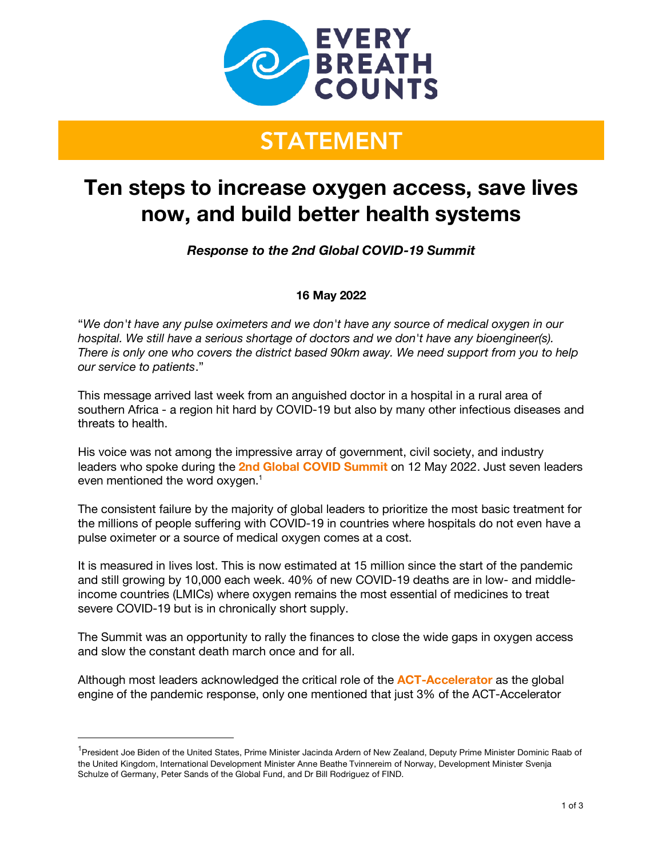

# **STATEMENT**

# **Ten steps to increase oxygen access, save lives now, and build better health systems**

*Response to the 2nd Global COVID-19 Summit*

## **16 May 2022**

"*We don't have any pulse oximeters and we don't have any source of medical oxygen in our hospital. We still have a serious shortage of doctors and we don't have any bioengineer(s). There is only one who covers the district based 90km away. We need support from you to help our service to patients*."

This message arrived last week from an anguished doctor in a hospital in a rural area of southern Africa - a region hit hard by COVID-19 but also by many other infectious diseases and threats to health.

His voice was not among the impressive array of government, civil society, and industry leaders who spoke during the **2nd Global COVID Summit** on 12 May 2022. Just seven leaders even mentioned the word oxygen. $<sup>1</sup>$ </sup>

The consistent failure by the majority of global leaders to prioritize the most basic treatment for the millions of people suffering with COVID-19 in countries where hospitals do not even have a pulse oximeter or a source of medical oxygen comes at a cost.

It is measured in lives lost. This is now estimated at 15 million since the start of the pandemic and still growing by 10,000 each week. 40% of new COVID-19 deaths are in low- and middleincome countries (LMICs) where oxygen remains the most essential of medicines to treat severe COVID-19 but is in chronically short supply.

The Summit was an opportunity to rally the finances to close the wide gaps in oxygen access and slow the constant death march once and for all.

Although most leaders acknowledged the critical role of the **ACT-Accelerator** as the global engine of the pandemic response, only one mentioned that just 3% of the ACT-Accelerator

<sup>&</sup>lt;sup>1</sup>President Joe Biden of the United States, Prime Minister Jacinda Ardern of New Zealand, Deputy Prime Minister Dominic Raab of the United Kingdom, International Development Minister Anne Beathe Tvinnereim of Norway, Development Minister Svenja Schulze of Germany, Peter Sands of the Global Fund, and Dr Bill Rodriguez of FIND.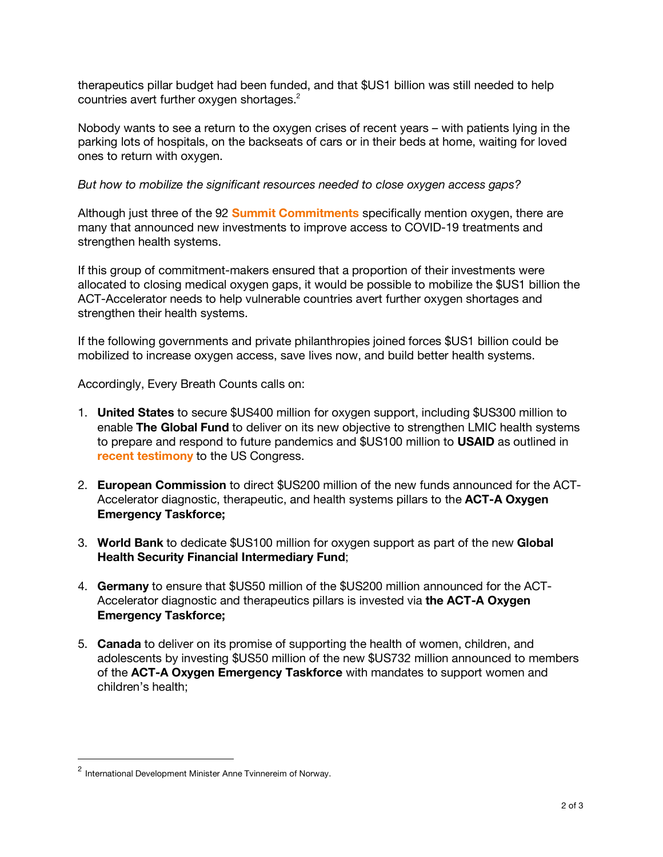therapeutics pillar budget had been funded, and that \$US1 billion was still needed to help countries avert further oxygen shortages.<sup>2</sup>

Nobody wants to see a return to the oxygen crises of recent years – with patients lying in the parking lots of hospitals, on the backseats of cars or in their beds at home, waiting for loved ones to return with oxygen.

#### *But how to mobilize the significant resources needed to close oxygen access gaps?*

Although just three of the 92 **Summit Commitments** specifically mention oxygen, there are many that announced new investments to improve access to COVID-19 treatments and strengthen health systems.

If this group of commitment-makers ensured that a proportion of their investments were allocated to closing medical oxygen gaps, it would be possible to mobilize the \$US1 billion the ACT-Accelerator needs to help vulnerable countries avert further oxygen shortages and strengthen their health systems.

If the following governments and private philanthropies joined forces \$US1 billion could be mobilized to increase oxygen access, save lives now, and build better health systems.

Accordingly, Every Breath Counts calls on:

- 1. **United States** to secure \$US400 million for oxygen support, including \$US300 million to enable **The Global Fund** to deliver on its new objective to strengthen LMIC health systems to prepare and respond to future pandemics and \$US100 million to **USAID** as outlined in **recent testimony** to the US Congress.
- 2. **European Commission** to direct \$US200 million of the new funds announced for the ACT-Accelerator diagnostic, therapeutic, and health systems pillars to the **ACT-A Oxygen Emergency Taskforce;**
- 3. **World Bank** to dedicate \$US100 million for oxygen support as part of the new **Global Health Security Financial Intermediary Fund**;
- 4. **Germany** to ensure that \$US50 million of the \$US200 million announced for the ACT-Accelerator diagnostic and therapeutics pillars is invested via **the ACT-A Oxygen Emergency Taskforce;**
- 5. **Canada** to deliver on its promise of supporting the health of women, children, and adolescents by investing \$US50 million of the new \$US732 million announced to members of the **ACT-A Oxygen Emergency Taskforce** with mandates to support women and children's health;

<sup>&</sup>lt;sup>2</sup> International Development Minister Anne Tvinnereim of Norway.